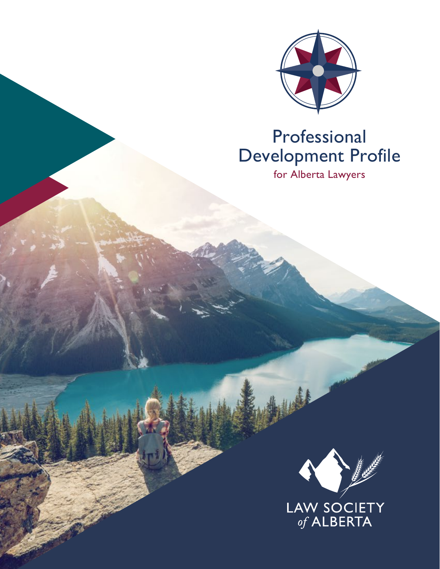

# Professional Development Profile

for Alberta Lawyers

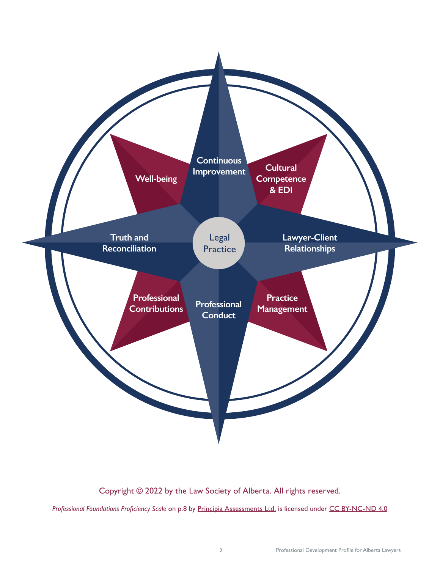

Copyright © 2022 by the Law Society of Alberta. All rights reserved.

*Professional Foundations Proficiency Scale* on p.8 by Principia Assessments Ltd. is licensed under CC BY-NC-ND 4.0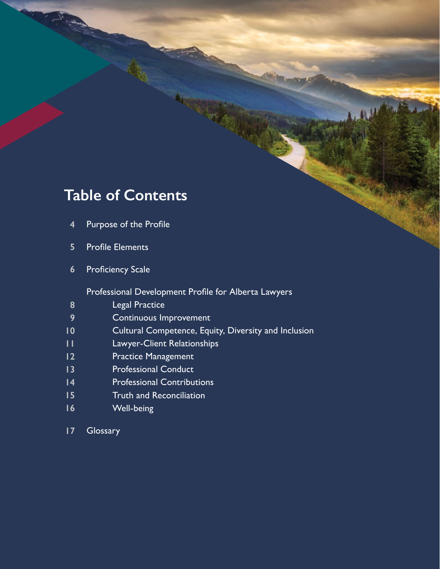### **Table of Contents**

- **4** Purpose of the Profile
- **5** Profile Elements
- **6** Proficiency Scale

Professional Development Profile for Alberta Lawyers

- **8** Legal Practice
- **9** Continuous Improvement
- **10** Cultural Competence, Equity, Diversity and Inclusion
- **11** Lawyer-Client Relationships
- **12** Practice Management
- **13** Professional Conduct
- **14** Professional Contributions
- **15** Truth and Reconciliation
- **16** Well-being
- **17 Glossary**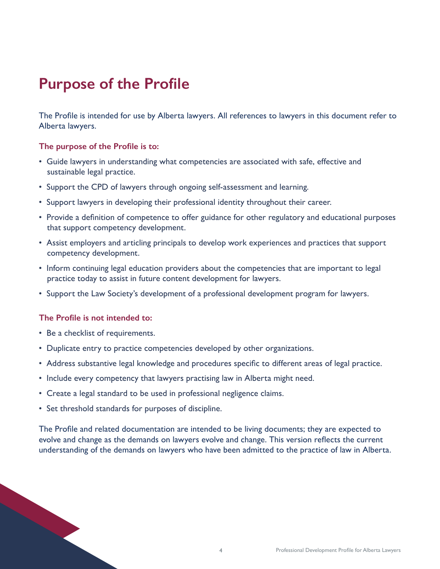## **Purpose of the Profile**

The Profile is intended for use by Alberta lawyers. All references to lawyers in this document refer to Alberta lawyers.

### **The purpose of the Profile is to:**

- Guide lawyers in understanding what competencies are associated with safe, effective and sustainable legal practice.
- Support the CPD of lawyers through ongoing self-assessment and learning.
- Support lawyers in developing their professional identity throughout their career.
- Provide a definition of competence to offer guidance for other regulatory and educational purposes that support competency development.
- Assist employers and articling principals to develop work experiences and practices that support competency development.
- Inform continuing legal education providers about the competencies that are important to legal practice today to assist in future content development for lawyers.
- Support the Law Society's development of a professional development program for lawyers.

### **The Profile is not intended to:**

• Be a checklist of requirements.

- Duplicate entry to practice competencies developed by other organizations.
- Address substantive legal knowledge and procedures specific to different areas of legal practice.
- Include every competency that lawyers practising law in Alberta might need.
- Create a legal standard to be used in professional negligence claims.
- Set threshold standards for purposes of discipline.

The Profile and related documentation are intended to be living documents; they are expected to evolve and change as the demands on lawyers evolve and change. This version reflects the current understanding of the demands on lawyers who have been admitted to the practice of law in Alberta.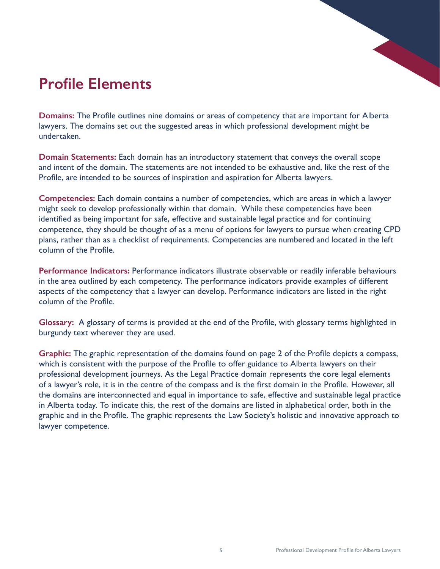## **Profile Elements**

**Domains:** The Profile outlines nine domains or areas of competency that are important for Alberta lawyers. The domains set out the suggested areas in which professional development might be undertaken.

**Domain Statements:** Each domain has an introductory statement that conveys the overall scope and intent of the domain. The statements are not intended to be exhaustive and, like the rest of the Profile, are intended to be sources of inspiration and aspiration for Alberta lawyers.

**Competencies:** Each domain contains a number of competencies, which are areas in which a lawyer might seek to develop professionally within that domain. While these competencies have been identified as being important for safe, effective and sustainable legal practice and for continuing competence, they should be thought of as a menu of options for lawyers to pursue when creating CPD plans, rather than as a checklist of requirements. Competencies are numbered and located in the left column of the Profile.

**Performance Indicators:** Performance indicators illustrate observable or readily inferable behaviours in the area outlined by each competency. The performance indicators provide examples of different aspects of the competency that a lawyer can develop. Performance indicators are listed in the right column of the Profile.

**Glossary:** A glossary of terms is provided at the end of the Profile, with glossary terms highlighted in burgundy text wherever they are used.

**Graphic:** The graphic representation of the domains found on page 2 of the Profile depicts a compass, which is consistent with the purpose of the Profile to offer guidance to Alberta lawyers on their professional development journeys. As the Legal Practice domain represents the core legal elements of a lawyer's role, it is in the centre of the compass and is the first domain in the Profile. However, all the domains are interconnected and equal in importance to safe, effective and sustainable legal practice in Alberta today. To indicate this, the rest of the domains are listed in alphabetical order, both in the graphic and in the Profile. The graphic represents the Law Society's holistic and innovative approach to lawyer competence.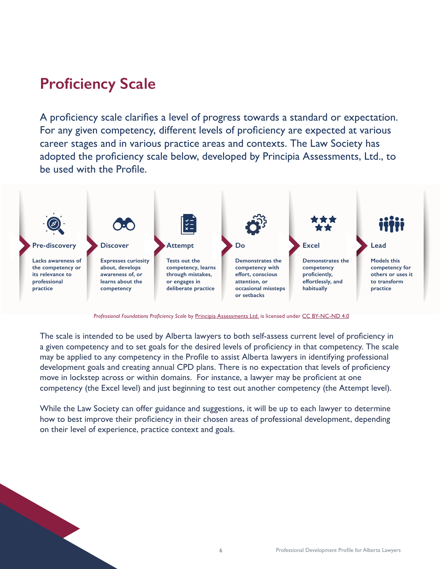## **Proficiency Scale**

A proficiency scale clarifies a level of progress towards a standard or expectation. For any given competency, different levels of proficiency are expected at various career stages and in various practice areas and contexts. The Law Society has adopted the proficiency scale below, developed by Principia Assessments, Ltd., to be used with the Profile.



*Professional Foundations Proficiency Scale* by Principia Assessments Ltd. is licensed under CC BY-NC-ND 4.0

The scale is intended to be used by Alberta lawyers to both self-assess current level of proficiency in a given competency and to set goals for the desired levels of proficiency in that competency. The scale may be applied to any competency in the Profile to assist Alberta lawyers in identifying professional development goals and creating annual CPD plans. There is no expectation that levels of proficiency move in lockstep across or within domains. For instance, a lawyer may be proficient at one competency (the Excel level) and just beginning to test out another competency (the Attempt level).

While the Law Society can offer guidance and suggestions, it will be up to each lawyer to determine how to best improve their proficiency in their chosen areas of professional development, depending on their level of experience, practice context and goals.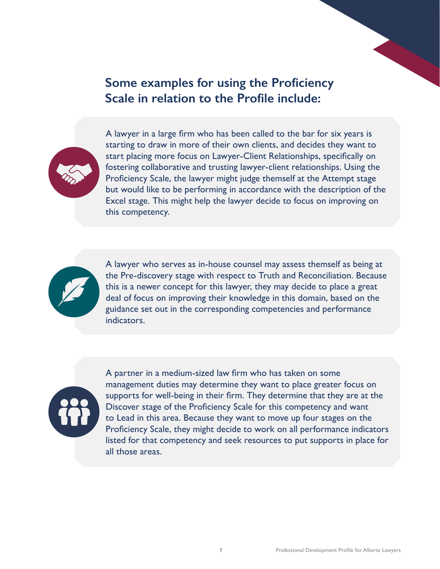### **Some examples for using the Proficiency Scale in relation to the Profile include:**



A lawyer in a large firm who has been called to the bar for six years is starting to draw in more of their own clients, and decides they want to start placing more focus on Lawyer-Client Relationships, specifically on fostering collaborative and trusting lawyer-client relationships. Using the Proficiency Scale, the lawyer might judge themself at the Attempt stage but would like to be performing in accordance with the description of the Excel stage. This might help the lawyer decide to focus on improving on this competency.



A lawyer who serves as in-house counsel may assess themself as being at the Pre-discovery stage with respect to Truth and Reconciliation. Because this is a newer concept for this lawyer, they may decide to place a great deal of focus on improving their knowledge in this domain, based on the guidance set out in the corresponding competencies and performance indicators.



A partner in a medium-sized law firm who has taken on some management duties may determine they want to place greater focus on supports for well-being in their firm. They determine that they are at the Discover stage of the Proficiency Scale for this competency and want to Lead in this area. Because they want to move up four stages on the Proficiency Scale, they might decide to work on all performance indicators listed for that competency and seek resources to put supports in place for all those areas.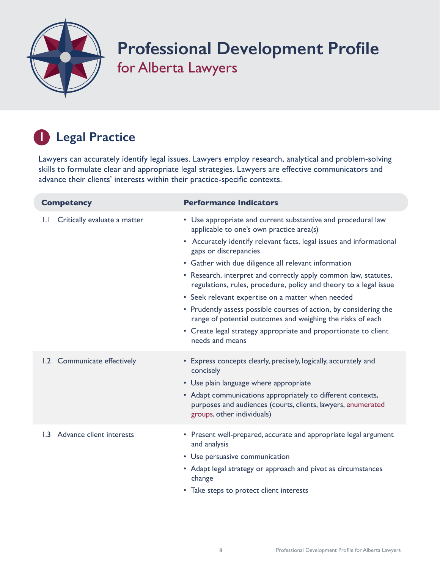

# **Professional Development Profile** for Alberta Lawyers

### **1 Legal Practice**

Lawyers can accurately identify legal issues. Lawyers employ research, analytical and problem-solving skills to formulate clear and appropriate legal strategies. Lawyers are effective communicators and advance their clients' interests within their practice-specific contexts.

| <b>Competency</b>                            | <b>Performance Indicators</b>                                                                                                                                                                                                                                                                                                                                                                                                                                                                                                                                                                                                                                                           |
|----------------------------------------------|-----------------------------------------------------------------------------------------------------------------------------------------------------------------------------------------------------------------------------------------------------------------------------------------------------------------------------------------------------------------------------------------------------------------------------------------------------------------------------------------------------------------------------------------------------------------------------------------------------------------------------------------------------------------------------------------|
| Critically evaluate a matter<br>$\mathbf{L}$ | • Use appropriate and current substantive and procedural law<br>applicable to one's own practice area(s)<br>• Accurately identify relevant facts, legal issues and informational<br>gaps or discrepancies<br>• Gather with due diligence all relevant information<br>• Research, interpret and correctly apply common law, statutes,<br>regulations, rules, procedure, policy and theory to a legal issue<br>• Seek relevant expertise on a matter when needed<br>• Prudently assess possible courses of action, by considering the<br>range of potential outcomes and weighing the risks of each<br>• Create legal strategy appropriate and proportionate to client<br>needs and means |
| 1.2 Communicate effectively                  | • Express concepts clearly, precisely, logically, accurately and<br>concisely<br>• Use plain language where appropriate<br>• Adapt communications appropriately to different contexts,<br>purposes and audiences (courts, clients, lawyers, enumerated<br>groups, other individuals)                                                                                                                                                                                                                                                                                                                                                                                                    |
| 1.3 Advance client interests                 | • Present well-prepared, accurate and appropriate legal argument<br>and analysis<br>• Use persuasive communication<br>• Adapt legal strategy or approach and pivot as circumstances<br>change<br>• Take steps to protect client interests                                                                                                                                                                                                                                                                                                                                                                                                                                               |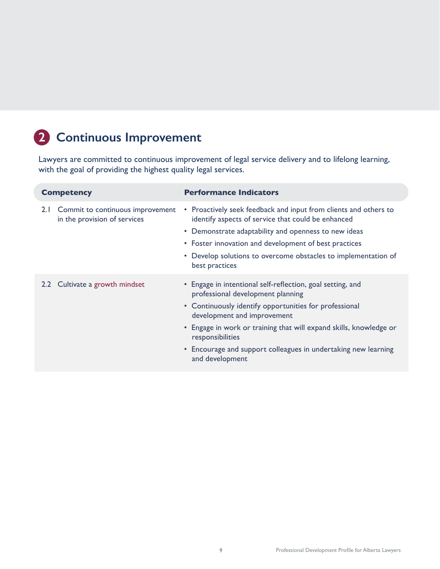### **2 Continuous Improvement**

Lawyers are committed to continuous improvement of legal service delivery and to lifelong learning, with the goal of providing the highest quality legal services.

| <b>Competency</b> |                                                                  | <b>Performance Indicators</b>                                                                                                                                                                                                                                                                                                                                           |
|-------------------|------------------------------------------------------------------|-------------------------------------------------------------------------------------------------------------------------------------------------------------------------------------------------------------------------------------------------------------------------------------------------------------------------------------------------------------------------|
| 2.1               | Commit to continuous improvement<br>in the provision of services | • Proactively seek feedback and input from clients and others to<br>identify aspects of service that could be enhanced<br>• Demonstrate adaptability and openness to new ideas<br>• Foster innovation and development of best practices<br>• Develop solutions to overcome obstacles to implementation of<br>best practices                                             |
|                   | 2.2 Cultivate a growth mindset                                   | • Engage in intentional self-reflection, goal setting, and<br>professional development planning<br>• Continuously identify opportunities for professional<br>development and improvement<br>• Engage in work or training that will expand skills, knowledge or<br>responsibilities<br>• Encourage and support colleagues in undertaking new learning<br>and development |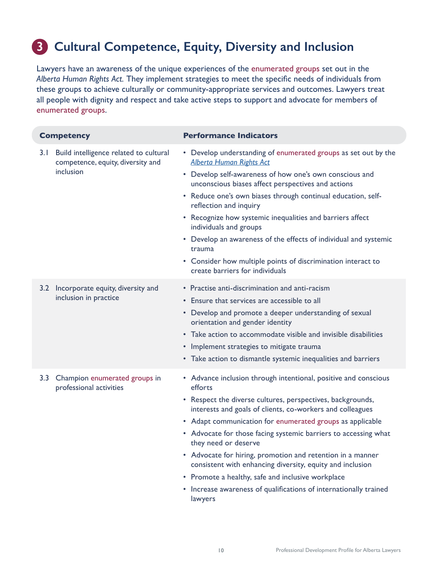### **3 Cultural Competence, Equity, Diversity and Inclusion**

Lawyers have an awareness of the unique experiences of the [enumerated groups](#page-16-0) set out in the *Alberta Human Rights Act.* They implement strategies to meet the specific needs of individuals from these groups to achieve culturally or community-appropriate services and outcomes. Lawyers treat all people with dignity and respect and take active steps to support and advocate for members of [enumerated groups](#page-16-0).

|     | <b>Competency</b>                                                                        | <b>Performance Indicators</b>                                                                                                                                                                                                                                                                                                                                                                                               |
|-----|------------------------------------------------------------------------------------------|-----------------------------------------------------------------------------------------------------------------------------------------------------------------------------------------------------------------------------------------------------------------------------------------------------------------------------------------------------------------------------------------------------------------------------|
| 3.1 | Build intelligence related to cultural<br>competence, equity, diversity and<br>inclusion | • Develop understanding of enumerated groups as set out by the<br><b>Alberta Human Rights Act</b>                                                                                                                                                                                                                                                                                                                           |
|     |                                                                                          | • Develop self-awareness of how one's own conscious and<br>unconscious biases affect perspectives and actions                                                                                                                                                                                                                                                                                                               |
|     |                                                                                          | • Reduce one's own biases through continual education, self-<br>reflection and inquiry                                                                                                                                                                                                                                                                                                                                      |
|     |                                                                                          | • Recognize how systemic inequalities and barriers affect<br>individuals and groups                                                                                                                                                                                                                                                                                                                                         |
|     |                                                                                          | • Develop an awareness of the effects of individual and systemic<br>trauma                                                                                                                                                                                                                                                                                                                                                  |
|     |                                                                                          | • Consider how multiple points of discrimination interact to<br>create barriers for individuals                                                                                                                                                                                                                                                                                                                             |
|     | 3.2 Incorporate equity, diversity and<br>inclusion in practice                           | • Practise anti-discrimination and anti-racism<br>• Ensure that services are accessible to all<br>• Develop and promote a deeper understanding of sexual<br>orientation and gender identity<br>• Take action to accommodate visible and invisible disabilities<br>• Implement strategies to mitigate trauma<br>• Take action to dismantle systemic inequalities and barriers                                                |
| 3.3 | Champion enumerated groups in<br>professional activities                                 | • Advance inclusion through intentional, positive and conscious<br>efforts<br>• Respect the diverse cultures, perspectives, backgrounds,<br>interests and goals of clients, co-workers and colleagues<br>• Adapt communication for enumerated groups as applicable<br>• Advocate for those facing systemic barriers to accessing what<br>they need or deserve<br>• Advocate for hiring, promotion and retention in a manner |
|     |                                                                                          | consistent with enhancing diversity, equity and inclusion                                                                                                                                                                                                                                                                                                                                                                   |
|     |                                                                                          | • Promote a healthy, safe and inclusive workplace<br>• Increase awareness of qualifications of internationally trained                                                                                                                                                                                                                                                                                                      |

lawyers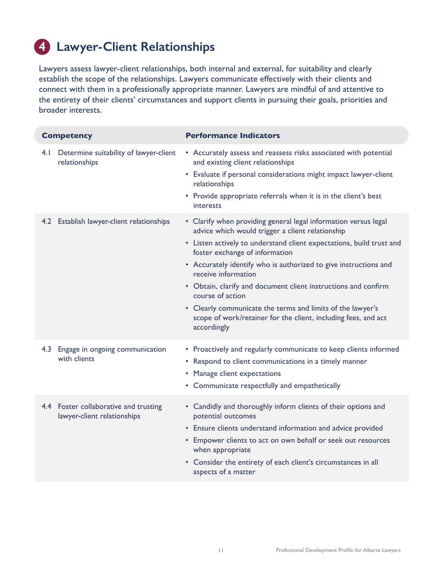### **4 Lawyer-Client Relationships**

Lawyers assess lawyer-client relationships, both internal and external, for suitability and clearly establish the scope of the relationships. Lawyers communicate effectively with their clients and connect with them in a professionally appropriate manner. Lawyers are mindful of and attentive to the entirety of their clients' circumstances and support clients in pursuing their goals, priorities and broader interests.

| <b>Competency</b>                                                    | <b>Performance Indicators</b>                                                                                                                                                                                                                                                                                                                                                                                                                                                                                                                                 |
|----------------------------------------------------------------------|---------------------------------------------------------------------------------------------------------------------------------------------------------------------------------------------------------------------------------------------------------------------------------------------------------------------------------------------------------------------------------------------------------------------------------------------------------------------------------------------------------------------------------------------------------------|
| Determine suitability of lawyer-client<br>4.1<br>relationships       | • Accurately assess and reassess risks associated with potential<br>and existing client relationships<br>• Evaluate if personal considerations might impact lawyer-client<br>relationships<br>• Provide appropriate referrals when it is in the client's best<br>interests                                                                                                                                                                                                                                                                                    |
| Establish lawyer-client relationships<br>4.2                         | • Clarify when providing general legal information versus legal<br>advice which would trigger a client relationship<br>• Listen actively to understand client expectations, build trust and<br>foster exchange of information<br>• Accurately identify who is authorized to give instructions and<br>receive information<br>• Obtain, clarify and document client instructions and confirm<br>course of action<br>• Clearly communicate the terms and limits of the lawyer's<br>scope of work/retainer for the client, including fees, and act<br>accordingly |
| 4.3<br>Engage in ongoing communication<br>with clients               | • Proactively and regularly communicate to keep clients informed<br>• Respond to client communications in a timely manner<br>• Manage client expectations<br>• Communicate respectfully and empathetically                                                                                                                                                                                                                                                                                                                                                    |
| 4.4 Foster collaborative and trusting<br>lawyer-client relationships | • Candidly and thoroughly inform clients of their options and<br>potential outcomes<br>• Ensure clients understand information and advice provided<br>• Empower clients to act on own behalf or seek out resources<br>when appropriate<br>• Consider the entirety of each client's circumstances in all<br>aspects of a matter                                                                                                                                                                                                                                |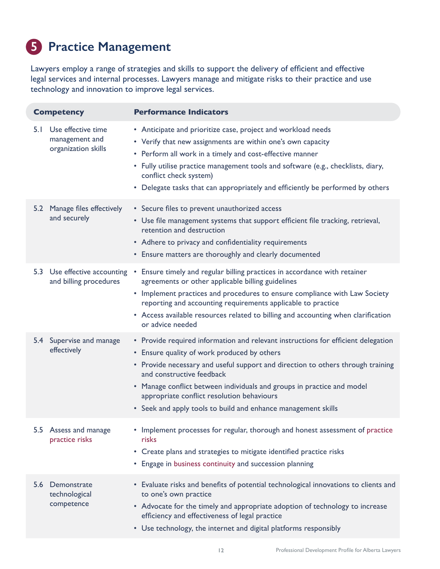### **5 Practice Management**

Lawyers employ a range of strategies and skills to support the delivery of efficient and effective legal services and internal processes. Lawyers manage and mitigate risks to their practice and use technology and innovation to improve legal services.

| <b>Competency</b> |                                                             | <b>Performance Indicators</b>                                                                                                                                                                                                                                                                                                                                                                                                             |  |  |
|-------------------|-------------------------------------------------------------|-------------------------------------------------------------------------------------------------------------------------------------------------------------------------------------------------------------------------------------------------------------------------------------------------------------------------------------------------------------------------------------------------------------------------------------------|--|--|
| 5. I              | Use effective time<br>management and<br>organization skills | • Anticipate and prioritize case, project and workload needs<br>• Verify that new assignments are within one's own capacity<br>• Perform all work in a timely and cost-effective manner<br>• Fully utilise practice management tools and software (e.g., checklists, diary,<br>conflict check system)<br>• Delegate tasks that can appropriately and efficiently be performed by others                                                   |  |  |
|                   | 5.2 Manage files effectively<br>and securely                | • Secure files to prevent unauthorized access<br>• Use file management systems that support efficient file tracking, retrieval,<br>retention and destruction<br>• Adhere to privacy and confidentiality requirements<br>• Ensure matters are thoroughly and clearly documented                                                                                                                                                            |  |  |
|                   | 5.3 Use effective accounting<br>and billing procedures      | • Ensure timely and regular billing practices in accordance with retainer<br>agreements or other applicable billing guidelines<br>• Implement practices and procedures to ensure compliance with Law Society<br>reporting and accounting requirements applicable to practice<br>• Access available resources related to billing and accounting when clarification<br>or advice needed                                                     |  |  |
|                   | 5.4 Supervise and manage<br>effectively                     | • Provide required information and relevant instructions for efficient delegation<br>• Ensure quality of work produced by others<br>• Provide necessary and useful support and direction to others through training<br>and constructive feedback<br>• Manage conflict between individuals and groups in practice and model<br>appropriate conflict resolution behaviours<br>• Seek and apply tools to build and enhance management skills |  |  |
|                   | 5.5 Assess and manage<br>practice risks                     | • Implement processes for regular, thorough and honest assessment of practice<br>risks<br>• Create plans and strategies to mitigate identified practice risks<br>• Engage in business continuity and succession planning                                                                                                                                                                                                                  |  |  |
|                   | 5.6 Demonstrate<br>technological<br>competence              | • Evaluate risks and benefits of potential technological innovations to clients and<br>to one's own practice<br>• Advocate for the timely and appropriate adoption of technology to increase<br>efficiency and effectiveness of legal practice<br>• Use technology, the internet and digital platforms responsibly                                                                                                                        |  |  |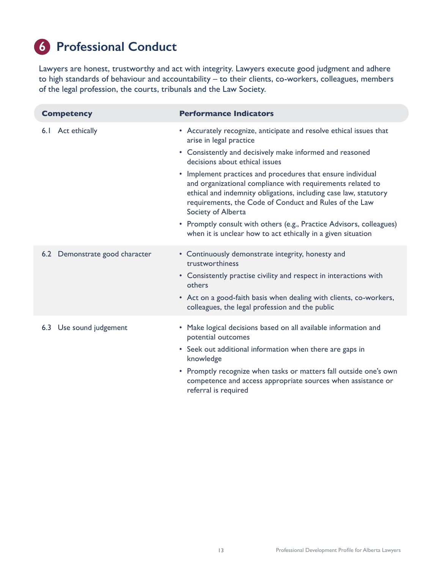### **6 Professional Conduct**

Lawyers are honest, trustworthy and act with integrity. Lawyers execute good judgment and adhere to high standards of behaviour and accountability – to their clients, co-workers, colleagues, members of the legal profession, the courts, tribunals and the Law Society.

| <b>Competency</b>              | <b>Performance Indicators</b>                                                                                                                                                                                                                                                 |
|--------------------------------|-------------------------------------------------------------------------------------------------------------------------------------------------------------------------------------------------------------------------------------------------------------------------------|
| Act ethically<br>6.1           | • Accurately recognize, anticipate and resolve ethical issues that<br>arise in legal practice                                                                                                                                                                                 |
|                                | • Consistently and decisively make informed and reasoned<br>decisions about ethical issues                                                                                                                                                                                    |
|                                | • Implement practices and procedures that ensure individual<br>and organizational compliance with requirements related to<br>ethical and indemnity obligations, including case law, statutory<br>requirements, the Code of Conduct and Rules of the Law<br>Society of Alberta |
|                                | • Promptly consult with others (e.g., Practice Advisors, colleagues)<br>when it is unclear how to act ethically in a given situation                                                                                                                                          |
| 6.2 Demonstrate good character | • Continuously demonstrate integrity, honesty and<br>trustworthiness                                                                                                                                                                                                          |
|                                | • Consistently practise civility and respect in interactions with<br>others                                                                                                                                                                                                   |
|                                | • Act on a good-faith basis when dealing with clients, co-workers,<br>colleagues, the legal profession and the public                                                                                                                                                         |
| Use sound judgement<br>6.3     | • Make logical decisions based on all available information and<br>potential outcomes                                                                                                                                                                                         |
|                                | • Seek out additional information when there are gaps in<br>knowledge                                                                                                                                                                                                         |
|                                | • Promptly recognize when tasks or matters fall outside one's own<br>competence and access appropriate sources when assistance or<br>referral is required                                                                                                                     |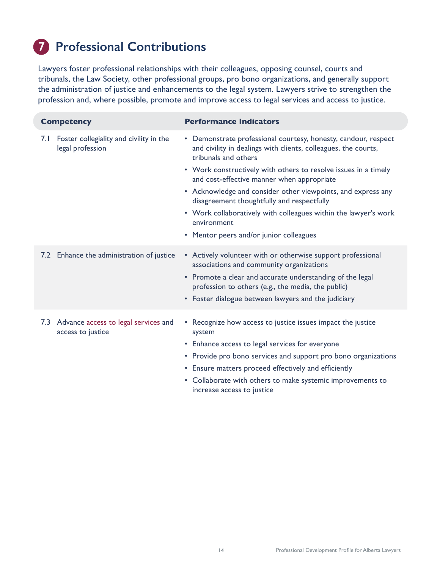### **7 Professional Contributions**

Lawyers foster professional relationships with their colleagues, opposing counsel, courts and tribunals, the Law Society, other professional groups, pro bono organizations, and generally support the administration of justice and enhancements to the legal system. Lawyers strive to strengthen the profession and, where possible, promote and improve access to legal services and access to justice.

| <b>Competency</b> |                                                             | <b>Performance Indicators</b>                                                                                                                                                                                                                                                                                                                                                                                                                                                                                        |
|-------------------|-------------------------------------------------------------|----------------------------------------------------------------------------------------------------------------------------------------------------------------------------------------------------------------------------------------------------------------------------------------------------------------------------------------------------------------------------------------------------------------------------------------------------------------------------------------------------------------------|
| 7.I               | Foster collegiality and civility in the<br>legal profession | • Demonstrate professional courtesy, honesty, candour, respect<br>and civility in dealings with clients, colleagues, the courts,<br>tribunals and others<br>• Work constructively with others to resolve issues in a timely<br>and cost-effective manner when appropriate<br>• Acknowledge and consider other viewpoints, and express any<br>disagreement thoughtfully and respectfully<br>• Work collaboratively with colleagues within the lawyer's work<br>environment<br>• Mentor peers and/or junior colleagues |
|                   | 7.2 Enhance the administration of justice                   | • Actively volunteer with or otherwise support professional<br>associations and community organizations<br>• Promote a clear and accurate understanding of the legal<br>profession to others (e.g., the media, the public)<br>• Foster dialogue between lawyers and the judiciary                                                                                                                                                                                                                                    |
| 7.3               | Advance access to legal services and<br>access to justice   | • Recognize how access to justice issues impact the justice<br>system<br>• Enhance access to legal services for everyone<br>• Provide pro bono services and support pro bono organizations<br>• Ensure matters proceed effectively and efficiently<br>• Collaborate with others to make systemic improvements to<br>increase access to justice                                                                                                                                                                       |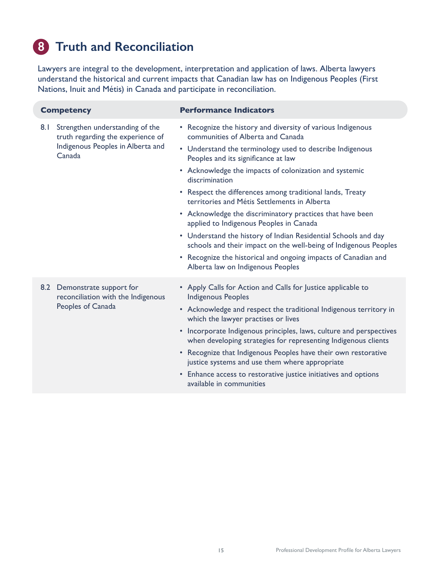### **8 Truth and Reconciliation**

Lawyers are integral to the development, interpretation and application of laws. Alberta lawyers understand the historical and current impacts that Canadian law has on Indigenous Peoples (First Nations, Inuit and Métis) in Canada and participate in reconciliation.

| <b>Competency</b> |                                                                                                                     | <b>Performance Indicators</b>                                                                                                                                                                                                                                                                                                                                                                                                                                                                                                                                                                                                              |
|-------------------|---------------------------------------------------------------------------------------------------------------------|--------------------------------------------------------------------------------------------------------------------------------------------------------------------------------------------------------------------------------------------------------------------------------------------------------------------------------------------------------------------------------------------------------------------------------------------------------------------------------------------------------------------------------------------------------------------------------------------------------------------------------------------|
| 8.1               | Strengthen understanding of the<br>truth regarding the experience of<br>Indigenous Peoples in Alberta and<br>Canada | • Recognize the history and diversity of various Indigenous<br>communities of Alberta and Canada<br>• Understand the terminology used to describe Indigenous<br>Peoples and its significance at law<br>• Acknowledge the impacts of colonization and systemic<br>discrimination<br>• Respect the differences among traditional lands, Treaty<br>territories and Métis Settlements in Alberta<br>• Acknowledge the discriminatory practices that have been<br>applied to Indigenous Peoples in Canada<br>• Understand the history of Indian Residential Schools and day<br>schools and their impact on the well-being of Indigenous Peoples |
|                   |                                                                                                                     | • Recognize the historical and ongoing impacts of Canadian and<br>Alberta law on Indigenous Peoples                                                                                                                                                                                                                                                                                                                                                                                                                                                                                                                                        |
|                   | 8.2 Demonstrate support for<br>reconciliation with the Indigenous<br>Peoples of Canada                              | • Apply Calls for Action and Calls for Justice applicable to<br><b>Indigenous Peoples</b><br>• Acknowledge and respect the traditional Indigenous territory in<br>which the lawyer practises or lives<br>Incorporate Indigenous principles, laws, culture and perspectives<br>$\bullet$<br>when developing strategies for representing Indigenous clients<br>• Recognize that Indigenous Peoples have their own restorative<br>justice systems and use them where appropriate<br>• Enhance access to restorative justice initiatives and options<br>available in communities                                                               |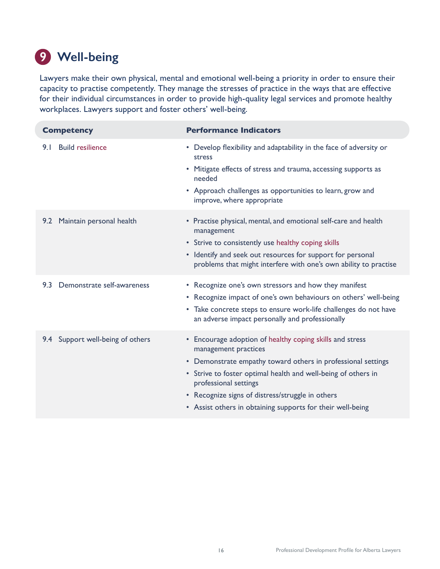### **9 Well-being**

Lawyers make their own physical, mental and emotional well-being a priority in order to ensure their capacity to practise competently. They manage the stresses of practice in the ways that are effective for their individual circumstances in order to provide high-quality legal services and promote healthy workplaces. Lawyers support and foster others' well-being.

| <b>Competency</b>                   | <b>Performance Indicators</b>                                                                                                                                                                                                                                                                                                                                |
|-------------------------------------|--------------------------------------------------------------------------------------------------------------------------------------------------------------------------------------------------------------------------------------------------------------------------------------------------------------------------------------------------------------|
| <b>Build resilience</b><br>9.1      | Develop flexibility and adaptability in the face of adversity or<br>٠<br>stress<br>• Mitigate effects of stress and trauma, accessing supports as<br>needed<br>• Approach challenges as opportunities to learn, grow and<br>improve, where appropriate                                                                                                       |
| 9.2 Maintain personal health        | • Practise physical, mental, and emotional self-care and health<br>management<br>• Strive to consistently use healthy coping skills<br>• Identify and seek out resources for support for personal<br>problems that might interfere with one's own ability to practise                                                                                        |
| Demonstrate self-awareness<br>9.3   | • Recognize one's own stressors and how they manifest<br>• Recognize impact of one's own behaviours on others' well-being<br>• Take concrete steps to ensure work-life challenges do not have<br>an adverse impact personally and professionally                                                                                                             |
| Support well-being of others<br>9.4 | • Encourage adoption of healthy coping skills and stress<br>management practices<br>• Demonstrate empathy toward others in professional settings<br>• Strive to foster optimal health and well-being of others in<br>professional settings<br>• Recognize signs of distress/struggle in others<br>• Assist others in obtaining supports for their well-being |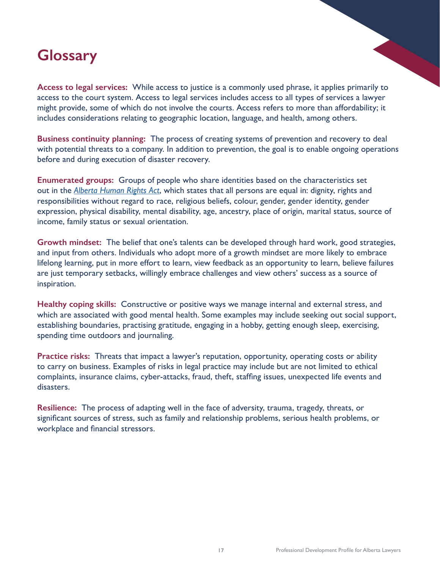## <span id="page-16-0"></span>**Glossary**

**Access to legal services:** While access to justice is a commonly used phrase, it applies primarily to access to the court system. Access to legal services includes access to all types of services a lawyer might provide, some of which do not involve the courts. Access refers to more than affordability; it includes considerations relating to geographic location, language, and health, among others.

**Business continuity planning:** The process of creating systems of prevention and recovery to deal with potential threats to a company. In addition to prevention, the goal is to enable ongoing operations before and during execution of disaster recovery.

**Enumerated groups:** Groups of people who share identities based on the characteristics set out in the *[Alberta Human Rights Act](https://www.qp.alberta.ca/1266.cfm?page=A25P5.cfm&leg_type=Acts&isbncln=9780779744060)*, which states that all persons are equal in: dignity, rights and responsibilities without regard to race, religious beliefs, colour, gender, gender identity, gender expression, physical disability, mental disability, age, ancestry, place of origin, marital status, source of income, family status or sexual orientation.

**Growth mindset:** The belief that one's talents can be developed through hard work, good strategies, and input from others. Individuals who adopt more of a growth mindset are more likely to embrace lifelong learning, put in more effort to learn, view feedback as an opportunity to learn, believe failures are just temporary setbacks, willingly embrace challenges and view others' success as a source of inspiration.

**Healthy coping skills:** Constructive or positive ways we manage internal and external stress, and which are associated with good mental health. Some examples may include seeking out social support, establishing boundaries, practising gratitude, engaging in a hobby, getting enough sleep, exercising, spending time outdoors and journaling.

**Practice risks:** Threats that impact a lawyer's reputation, opportunity, operating costs or ability to carry on business. Examples of risks in legal practice may include but are not limited to ethical complaints, insurance claims, cyber-attacks, fraud, theft, staffing issues, unexpected life events and disasters.

**Resilience:** The process of adapting well in the face of adversity, trauma, tragedy, threats, or significant sources of stress, such as family and relationship problems, serious health problems, or workplace and financial stressors.